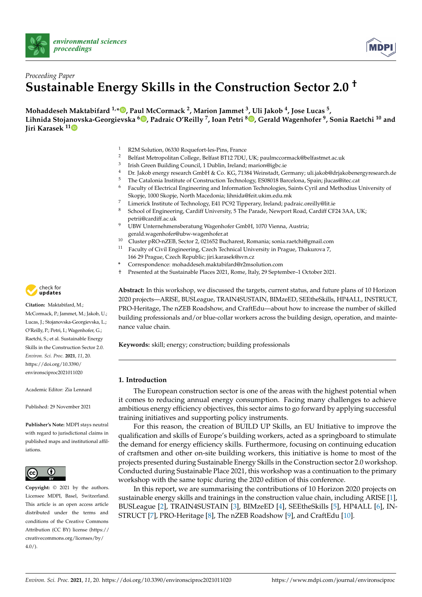



# *Proceeding Paper* **Sustainable Energy Skills in the Construction Sector 2.0 †**

**Mohaddeseh Maktabifard 1,\* [,](https://orcid.org/0000-0002-4185-4374) Paul McCormack <sup>2</sup> , Marion Jammet <sup>3</sup> , Uli Jakob <sup>4</sup> , Jose Lucas <sup>5</sup> , Lihnida Stojanovska-Georgievska <sup>6</sup> [,](https://orcid.org/0000-0002-6402-3848) Padraic O'Reilly <sup>7</sup> , Ioan Petri <sup>8</sup> [,](https://orcid.org/0000-0002-1625-8247) Gerald Wagenhofer <sup>9</sup> , Sonia Raetchi <sup>10</sup> and Jiri Karasek 1[1](https://orcid.org/0000-0003-0745-1202)**

- 1 R2M Solution, 06330 Roquefort-les-Pins, France
- <sup>2</sup> Belfast Metropolitan College, Belfast BT12 7DU, UK; paulmccormack@belfastmet.ac.uk
- 3 Irish Green Building Council, 1 Dublin, Ireland; marion@igbc.ie
- <sup>4</sup> Dr. Jakob energy research GmbH & Co. KG, 71384 Weinstadt, Germany; uli.jakob@drjakobenergyresearch.de<br><sup>5</sup> The Catalania Institute of Construction Technology ES08018 Bargalane, Specine iluse@itee act
- <sup>5</sup> The Catalonia Institute of Construction Technology, ES08018 Barcelona, Spain; jlucas@itec.cat
- <sup>6</sup> Faculty of Electrical Engineering and Information Technologies, Saints Cyril and Methodius University of Skopje, 1000 Skopje, North Macedonia; lihnida@feit.ukim.edu.mk
- 7 Limerick Institute of Technology, E41 PC92 Tipperary, Ireland; padraic.oreilly@lit.ie
- 8 School of Engineering, Cardiff University, 5 The Parade, Newport Road, Cardiff CF24 3AA, UK; petrii@cardiff.ac.uk
- UBW Unternehmensberatung Wagenhofer GmbH, 1070 Vienna, Austria; gerald.wagenhofer@ubw-wagenhofer.at
- <sup>10</sup> Cluster pRO-nZEB, Sector 2, 021652 Bucharest, Romania; sonia.raetchi@gmail.com
- $11$  Faculty of Civil Engineering, Czech Technical University in Prague, Thakurova 7, 166 29 Prague, Czech Republic; jiri.karasek@svn.cz
- **\*** Correspondence: mohaddeseh.maktabifard@r2msolution.com
- † Presented at the Sustainable Places 2021, Rome, Italy, 29 September–1 October 2021.

**Abstract:** In this workshop, we discussed the targets, current status, and future plans of 10 Horizon 2020 projects—ARISE, BUSLeague, TRAIN4SUSTAIN, BIMzeED, SEEtheSkills, HP4ALL, INSTRUCT, PRO-Heritage, The nZEB Roadshow, and CraftEdu—about how to increase the number of skilled building professionals and/or blue-collar workers across the building design, operation, and maintenance value chain.

**Keywords:** skill; energy; construction; building professionals

# **1. Introduction**

The European construction sector is one of the areas with the highest potential when it comes to reducing annual energy consumption. Facing many challenges to achieve ambitious energy efficiency objectives, this sector aims to go forward by applying successful training initiatives and supporting policy instruments.

For this reason, the creation of BUILD UP Skills, an EU Initiative to improve the qualification and skills of Europe's building workers, acted as a springboard to stimulate the demand for energy efficiency skills. Furthermore, focusing on continuing education of craftsmen and other on-site building workers, this initiative is home to most of the projects presented during Sustainable Energy Skills in the Construction sector 2.0 workshop. Conducted during Sustainable Place 2021, this workshop was a continuation to the primary workshop with the same topic during the 2020 edition of this conference.

In this report, we are summarising the contributions of 10 Horizon 2020 projects on sustainable energy skills and trainings in the construction value chain, including ARISE [\[1\]](#page-4-0), BUSLeague [\[2\]](#page-4-1), TRAIN4SUSTAIN [\[3\]](#page-4-2), BIMzeED [\[4\]](#page-4-3), SEEtheSkills [\[5\]](#page-4-4), HP4ALL [\[6\]](#page-4-5), IN-STRUCT [\[7\]](#page-4-6), PRO-Heritage [\[8\]](#page-4-7), The nZEB Roadshow [\[9\]](#page-4-8), and CraftEdu [\[10\]](#page-4-9).



**Citation:** Maktabifard, M.;

McCormack, P.; Jammet, M.; Jakob, U.; Lucas, J.; Stojanovska-Georgievska, L.; O'Reilly, P.; Petri, I.; Wagenhofer, G.; Raetchi, S.; et al. Sustainable Energy Skills in the Construction Sector 2.0. *Environ. Sci. Proc.* **2021**, *11*, 20. [https://doi.org/10.3390/](https://doi.org/10.3390/environsciproc2021011020) [environsciproc2021011020](https://doi.org/10.3390/environsciproc2021011020)

Academic Editor: Zia Lennard

Published: 29 November 2021

**Publisher's Note:** MDPI stays neutral with regard to jurisdictional claims in published maps and institutional affiliations.



**Copyright:** © 2021 by the authors. Licensee MDPI, Basel, Switzerland. This article is an open access article distributed under the terms and conditions of the Creative Commons Attribution (CC BY) license (https:/[/](https://creativecommons.org/licenses/by/4.0/) [creativecommons.org/licenses/by/](https://creativecommons.org/licenses/by/4.0/)  $4.0/$ ).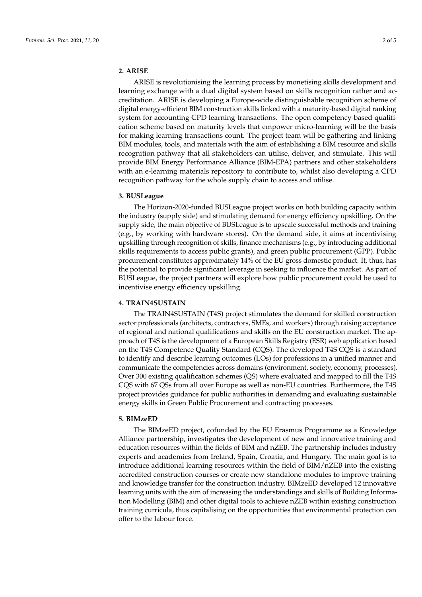# **2. ARISE**

ARISE is revolutionising the learning process by monetising skills development and learning exchange with a dual digital system based on skills recognition rather and accreditation. ARISE is developing a Europe-wide distinguishable recognition scheme of digital energy-efficient BIM construction skills linked with a maturity-based digital ranking system for accounting CPD learning transactions. The open competency-based qualification scheme based on maturity levels that empower micro-learning will be the basis for making learning transactions count. The project team will be gathering and linking BIM modules, tools, and materials with the aim of establishing a BIM resource and skills recognition pathway that all stakeholders can utilise, deliver, and stimulate. This will provide BIM Energy Performance Alliance (BIM-EPA) partners and other stakeholders with an e-learning materials repository to contribute to, whilst also developing a CPD recognition pathway for the whole supply chain to access and utilise.

### **3. BUSLeague**

The Horizon-2020-funded BUSLeague project works on both building capacity within the industry (supply side) and stimulating demand for energy efficiency upskilling. On the supply side, the main objective of BUSLeague is to upscale successful methods and training (e.g., by working with hardware stores). On the demand side, it aims at incentivising upskilling through recognition of skills, finance mechanisms (e.g., by introducing additional skills requirements to access public grants), and green public procurement (GPP). Public procurement constitutes approximately 14% of the EU gross domestic product. It, thus, has the potential to provide significant leverage in seeking to influence the market. As part of BUSLeague, the project partners will explore how public procurement could be used to incentivise energy efficiency upskilling.

## **4. TRAIN4SUSTAIN**

The TRAIN4SUSTAIN (T4S) project stimulates the demand for skilled construction sector professionals (architects, contractors, SMEs, and workers) through raising acceptance of regional and national qualifications and skills on the EU construction market. The approach of T4S is the development of a European Skills Registry (ESR) web application based on the T4S Competence Quality Standard (CQS). The developed T4S CQS is a standard to identify and describe learning outcomes (LOs) for professions in a unified manner and communicate the competencies across domains (environment, society, economy, processes). Over 300 existing qualification schemes (QS) where evaluated and mapped to fill the T4S CQS with 67 QSs from all over Europe as well as non-EU countries. Furthermore, the T4S project provides guidance for public authorities in demanding and evaluating sustainable energy skills in Green Public Procurement and contracting processes.

#### **5. BIMzeED**

The BIMzeED project, cofunded by the EU Erasmus Programme as a Knowledge Alliance partnership, investigates the development of new and innovative training and education resources within the fields of BIM and nZEB. The partnership includes industry experts and academics from Ireland, Spain, Croatia, and Hungary. The main goal is to introduce additional learning resources within the field of BIM/nZEB into the existing accredited construction courses or create new standalone modules to improve training and knowledge transfer for the construction industry. BIMzeED developed 12 innovative learning units with the aim of increasing the understandings and skills of Building Information Modelling (BIM) and other digital tools to achieve nZEB within existing construction training curricula, thus capitalising on the opportunities that environmental protection can offer to the labour force.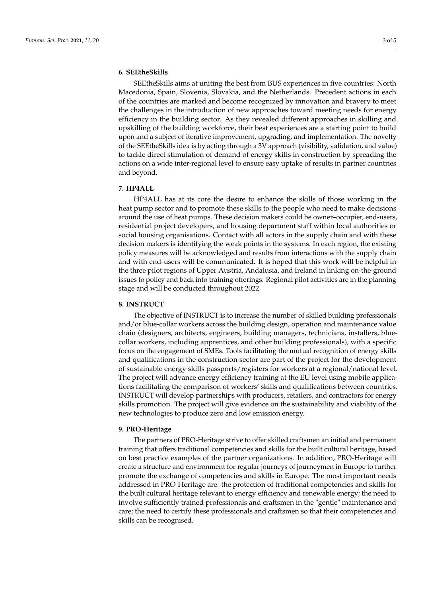# **6. SEEtheSkills**

SEEtheSkills aims at uniting the best from BUS experiences in five countries: North Macedonia, Spain, Slovenia, Slovakia, and the Netherlands. Precedent actions in each of the countries are marked and become recognized by innovation and bravery to meet the challenges in the introduction of new approaches toward meeting needs for energy efficiency in the building sector. As they revealed different approaches in skilling and upskilling of the building workforce, their best experiences are a starting point to build upon and a subject of iterative improvement, upgrading, and implementation. The novelty of the SEEtheSkills idea is by acting through a 3V approach (visibility, validation, and value) to tackle direct stimulation of demand of energy skills in construction by spreading the actions on a wide inter-regional level to ensure easy uptake of results in partner countries and beyond.

#### **7. HP4ALL**

HP4ALL has at its core the desire to enhance the skills of those working in the heat pump sector and to promote these skills to the people who need to make decisions around the use of heat pumps. These decision makers could be owner–occupier, end-users, residential project developers, and housing department staff within local authorities or social housing organisations. Contact with all actors in the supply chain and with these decision makers is identifying the weak points in the systems. In each region, the existing policy measures will be acknowledged and results from interactions with the supply chain and with end-users will be communicated. It is hoped that this work will be helpful in the three pilot regions of Upper Austria, Andalusia, and Ireland in linking on-the-ground issues to policy and back into training offerings. Regional pilot activities are in the planning stage and will be conducted throughout 2022.

## **8. INSTRUCT**

The objective of INSTRUCT is to increase the number of skilled building professionals and/or blue-collar workers across the building design, operation and maintenance value chain (designers, architects, engineers, building managers, technicians, installers, bluecollar workers, including apprentices, and other building professionals), with a specific focus on the engagement of SMEs. Tools facilitating the mutual recognition of energy skills and qualifications in the construction sector are part of the project for the development of sustainable energy skills passports/registers for workers at a regional/national level. The project will advance energy efficiency training at the EU level using mobile applications facilitating the comparison of workers' skills and qualifications between countries. INSTRUCT will develop partnerships with producers, retailers, and contractors for energy skills promotion. The project will give evidence on the sustainability and viability of the new technologies to produce zero and low emission energy.

# **9. PRO-Heritage**

The partners of PRO-Heritage strive to offer skilled craftsmen an initial and permanent training that offers traditional competencies and skills for the built cultural heritage, based on best practice examples of the partner organizations. In addition, PRO-Heritage will create a structure and environment for regular journeys of journeymen in Europe to further promote the exchange of competencies and skills in Europe. The most important needs addressed in PRO-Heritage are: the protection of traditional competencies and skills for the built cultural heritage relevant to energy efficiency and renewable energy; the need to involve sufficiently trained professionals and craftsmen in the "gentle" maintenance and care; the need to certify these professionals and craftsmen so that their competencies and skills can be recognised.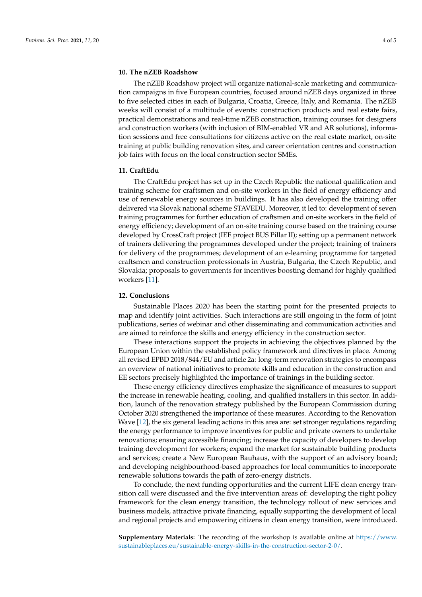# **10. The nZEB Roadshow**

The nZEB Roadshow project will organize national-scale marketing and communication campaigns in five European countries, focused around nZEB days organized in three to five selected cities in each of Bulgaria, Croatia, Greece, Italy, and Romania. The nZEB weeks will consist of a multitude of events: construction products and real estate fairs, practical demonstrations and real-time nZEB construction, training courses for designers and construction workers (with inclusion of BIM-enabled VR and AR solutions), information sessions and free consultations for citizens active on the real estate market, on-site training at public building renovation sites, and career orientation centres and construction job fairs with focus on the local construction sector SMEs.

#### **11. CraftEdu**

The CraftEdu project has set up in the Czech Republic the national qualification and training scheme for craftsmen and on-site workers in the field of energy efficiency and use of renewable energy sources in buildings. It has also developed the training offer delivered via Slovak national scheme STAVEDU. Moreover, it led to: development of seven training programmes for further education of craftsmen and on-site workers in the field of energy efficiency; development of an on-site training course based on the training course developed by CrossCraft project (IEE project BUS Pillar II); setting up a permanent network of trainers delivering the programmes developed under the project; training of trainers for delivery of the programmes; development of an e-learning programme for targeted craftsmen and construction professionals in Austria, Bulgaria, the Czech Republic, and Slovakia; proposals to governments for incentives boosting demand for highly qualified workers [\[11\]](#page-4-10).

#### **12. Conclusions**

Sustainable Places 2020 has been the starting point for the presented projects to map and identify joint activities. Such interactions are still ongoing in the form of joint publications, series of webinar and other disseminating and communication activities and are aimed to reinforce the skills and energy efficiency in the construction sector.

These interactions support the projects in achieving the objectives planned by the European Union within the established policy framework and directives in place. Among all revised EPBD 2018/844/EU and article 2a: long-term renovation strategies to encompass an overview of national initiatives to promote skills and education in the construction and EE sectors precisely highlighted the importance of trainings in the building sector.

These energy efficiency directives emphasize the significance of measures to support the increase in renewable heating, cooling, and qualified installers in this sector. In addition, launch of the renovation strategy published by the European Commission during October 2020 strengthened the importance of these measures. According to the Renovation Wave [\[12\]](#page-4-11), the six general leading actions in this area are: set stronger regulations regarding the energy performance to improve incentives for public and private owners to undertake renovations; ensuring accessible financing; increase the capacity of developers to develop training development for workers; expand the market for sustainable building products and services; create a New European Bauhaus, with the support of an advisory board; and developing neighbourhood-based approaches for local communities to incorporate renewable solutions towards the path of zero-energy districts.

To conclude, the next funding opportunities and the current LIFE clean energy transition call were discussed and the five intervention areas of: developing the right policy framework for the clean energy transition, the technology rollout of new services and business models, attractive private financing, equally supporting the development of local and regional projects and empowering citizens in clean energy transition, were introduced.

**Supplementary Materials:** The recording of the workshop is available online at [https://www.](https://www.sustainableplaces.eu/sustainable-energy-skills-in-the-construction-sector-2-0/) [sustainableplaces.eu/sustainable-energy-skills-in-the-construction-sector-2-0/.](https://www.sustainableplaces.eu/sustainable-energy-skills-in-the-construction-sector-2-0/)